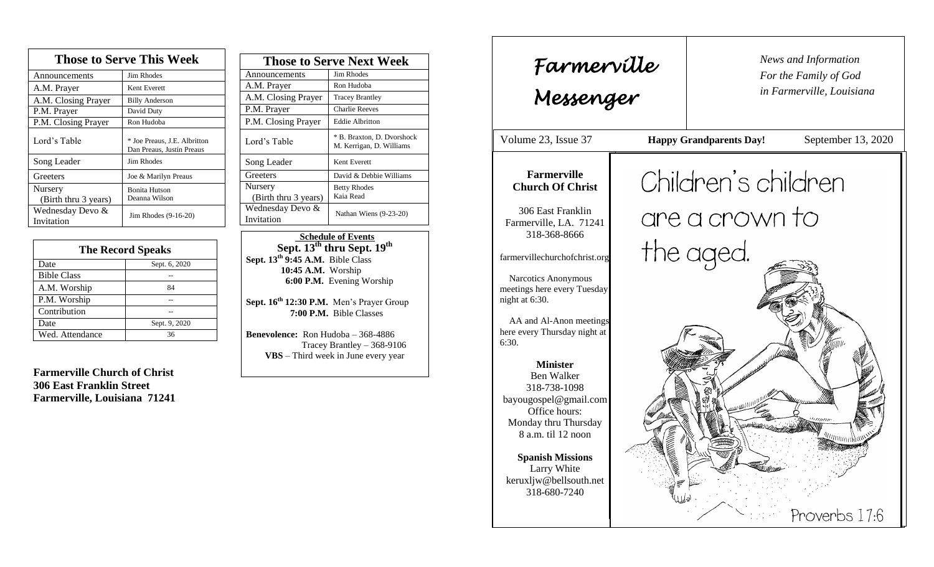| <b>Those to Serve This Week</b> |                                                           |  |
|---------------------------------|-----------------------------------------------------------|--|
| Announcements                   | Jim Rhodes                                                |  |
| A.M. Prayer                     | Kent Everett                                              |  |
| A.M. Closing Prayer             | <b>Billy Anderson</b>                                     |  |
| P.M. Prayer                     | David Duty                                                |  |
| P.M. Closing Prayer             | Ron Hudoba                                                |  |
| Lord's Table                    | * Joe Preaus, J.E. Albritton<br>Dan Preaus, Justin Preaus |  |
| Song Leader                     | Jim Rhodes                                                |  |
| Greeters                        | Joe & Marilyn Preaus                                      |  |
| Nursery<br>(Birth thru 3 years) | <b>Bonita Hutson</b><br>Deanna Wilson                     |  |
| Wednesday Devo &<br>Invitation  | Jim Rhodes $(9-16-20)$                                    |  |

| <b>The Record Speaks</b> |               |
|--------------------------|---------------|
| Date                     | Sept. 6, 2020 |
| <b>Bible Class</b>       |               |
| A.M. Worship             | 84            |
| P.M. Worship             |               |
| Contribution             |               |
| Date                     | Sept. 9, 2020 |
| Wed. Attendance          | 36            |

**Farmerville Church of Christ 306 East Franklin Street Farmerville, Louisiana 71241**

| <b>Those to Serve Next Week</b> |                                                        |
|---------------------------------|--------------------------------------------------------|
| Announcements                   | Jim Rhodes                                             |
| A.M. Prayer                     | Ron Hudoba                                             |
| A.M. Closing Prayer             | <b>Tracey Brantley</b>                                 |
| P.M. Prayer                     | <b>Charlie Reeves</b>                                  |
| P.M. Closing Prayer             | <b>Eddie Albritton</b>                                 |
| Lord's Table                    | * B. Braxton, D. Dvorshock<br>M. Kerrigan, D. Williams |
| Song Leader                     | Kent Everett                                           |
| Greeters                        | David & Debbie Williams                                |
| Nursery<br>(Birth thru 3 years) | <b>Betty Rhodes</b><br>Kaia Read                       |
| Wednesday Devo &<br>Invitation  | Nathan Wiens (9-23-20)                                 |

 **Schedule of Events Sept. 13th thru Sept. 19 th Sept. 13th 9:45 A.M.** Bible Class **10:45 A.M.** Worship  **6:00 P.M.** Evening Worship

**Sept. 16th 12:30 P.M.** Men's Prayer Group **7:00 P.M.** Bible Classes

**Benevolence:** Ron Hudoba – 368-4886 Tracey Brantley – 368-9106 **VBS** – Third week in June every year